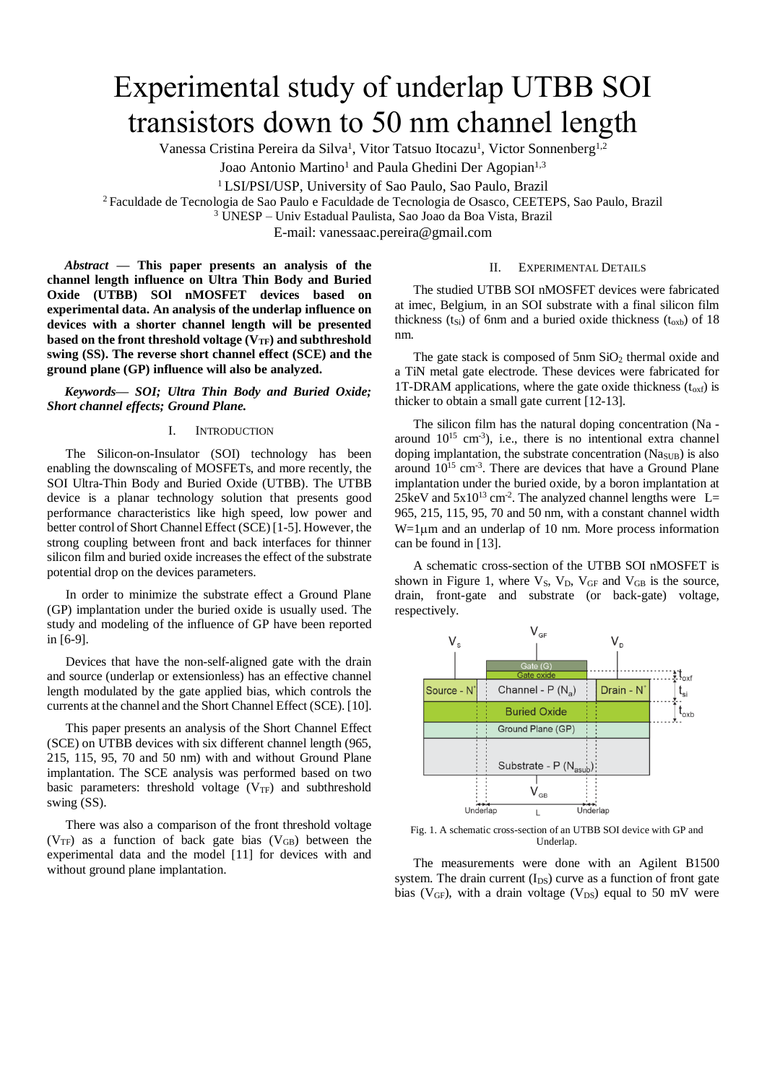# Experimental study of underlap UTBB SOI transistors down to 50 nm channel length

Vanessa Cristina Pereira da Silva<sup>1</sup>, Vitor Tatsuo Itocazu<sup>1</sup>, Victor Sonnenberg<sup>1,2</sup>

Joao Antonio Martino<sup>1</sup> and Paula Ghedini Der Agopian<sup>1,3</sup>

<sup>1</sup> LSI/PSI/USP, University of Sao Paulo, Sao Paulo, Brazil

<sup>2</sup>Faculdade de Tecnologia de Sao Paulo e Faculdade de Tecnologia de Osasco, CEETEPS, Sao Paulo, Brazil

<sup>3</sup> UNESP – Univ Estadual Paulista, Sao Joao da Boa Vista, Brazil

E-mail: vanessaac.pereira@gmail.com

*Abstract* **— This paper presents an analysis of the channel length influence on Ultra Thin Body and Buried Oxide (UTBB) SOl nMOSFET devices based on experimental data. An analysis of the underlap influence on devices with a shorter channel length will be presented based on the front threshold voltage (VTF) and subthreshold swing (SS). The reverse short channel effect (SCE) and the ground plane (GP) influence will also be analyzed.**

*Keywords— SOI; Ultra Thin Body and Buried Oxide; Short channel effects; Ground Plane.*

## I. INTRODUCTION

The Silicon-on-Insulator (SOI) technology has been enabling the downscaling of MOSFETs, and more recently, the SOI Ultra-Thin Body and Buried Oxide (UTBB). The UTBB device is a planar technology solution that presents good performance characteristics like high speed, low power and better control of Short Channel Effect (SCE) [1-5]. However, the strong coupling between front and back interfaces for thinner silicon film and buried oxide increases the effect of the substrate potential drop on the devices parameters.

In order to minimize the substrate effect a Ground Plane (GP) implantation under the buried oxide is usually used. The study and modeling of the influence of GP have been reported in [6-9].

Devices that have the non-self-aligned gate with the drain and source (underlap or extensionless) has an effective channel length modulated by the gate applied bias, which controls the currents at the channel and the Short Channel Effect (SCE). [10].

This paper presents an analysis of the Short Channel Effect (SCE) on UTBB devices with six different channel length (965, 215, 115, 95, 70 and 50 nm) with and without Ground Plane implantation. The SCE analysis was performed based on two basic parameters: threshold voltage  $(V_{TF})$  and subthreshold swing (SS).

There was also a comparison of the front threshold voltage ( $V_{\text{TF}}$ ) as a function of back gate bias ( $V_{\text{GB}}$ ) between the experimental data and the model [11] for devices with and without ground plane implantation.

### II. EXPERIMENTAL DETAILS

The studied UTBB SOI nMOSFET devices were fabricated at imec, Belgium, in an SOI substrate with a final silicon film thickness ( $t_{Si}$ ) of 6nm and a buried oxide thickness ( $t_{oxb}$ ) of 18 nm.

The gate stack is composed of  $5 \text{nm } SiO_2$  thermal oxide and a TiN metal gate electrode. These devices were fabricated for 1T-DRAM applications, where the gate oxide thickness  $(t_{\text{oxf}})$  is thicker to obtain a small gate current [12-13].

The silicon film has the natural doping concentration (Na around  $10^{15}$  cm<sup>-3</sup>), i.e., there is no intentional extra channel doping implantation, the substrate concentration (Na<sub>SUB</sub>) is also around  $10^{15}$  cm<sup>-3</sup>. There are devices that have a Ground Plane implantation under the buried oxide, by a boron implantation at 25keV and  $5x10^{13}$  cm<sup>-2</sup>. The analyzed channel lengths were L= 965, 215, 115, 95, 70 and 50 nm, with a constant channel width  $W=1\mu m$  and an underlap of 10 nm. More process information can be found in [13].

A schematic cross-section of the UTBB SOI nMOSFET is shown in Figure 1, where  $V_S$ ,  $V_D$ ,  $V_{GF}$  and  $V_{GB}$  is the source, drain, front-gate and substrate (or back-gate) voltage, respectively.



Fig. 1. A schematic cross-section of an UTBB SOI device with GP and Underlap.

The measurements were done with an Agilent B1500 system. The drain current  $(I_{DS})$  curve as a function of front gate bias ( $V_{GF}$ ), with a drain voltage ( $V_{DS}$ ) equal to 50 mV were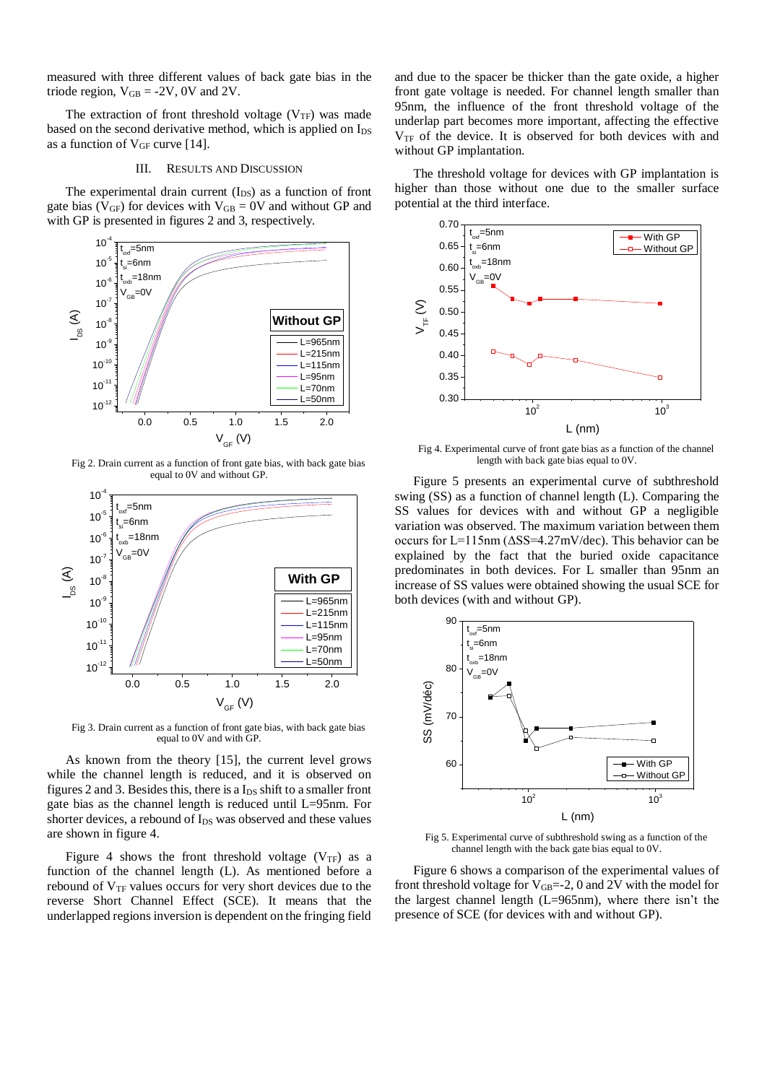measured with three different values of back gate bias in the triode region,  $V_{GB} = -2V$ , 0V and 2V.

The extraction of front threshold voltage  $(V_{TF})$  was made based on the second derivative method, which is applied on  $I_{DS}$ as a function of  $V_{GF}$  curve [14].

#### III. RESULTS AND DISCUSSION

The experimental drain current  $(I_{DS})$  as a function of front gate bias ( $V_{GF}$ ) for devices with  $V_{GB} = 0V$  and without GP and with GP is presented in figures 2 and 3, respectively.



Fig 2. Drain current as a function of front gate bias, with back gate bias equal to 0V and without GP.



Fig 3. Drain current as a function of front gate bias, with back gate bias equal to 0V and with GP.

As known from the theory [15], the current level grows while the channel length is reduced, and it is observed on figures 2 and 3. Besides this, there is a  $I_{DS}$  shift to a smaller front gate bias as the channel length is reduced until L=95nm. For shorter devices, a rebound of  $I_{DS}$  was observed and these values are shown in figure 4.

Figure 4 shows the front threshold voltage  $(V_{TF})$  as a function of the channel length (L). As mentioned before a rebound of  $V<sub>TF</sub>$  values occurs for very short devices due to the reverse Short Channel Effect (SCE). It means that the underlapped regions inversion is dependent on the fringing field

and due to the spacer be thicker than the gate oxide, a higher front gate voltage is needed. For channel length smaller than 95nm, the influence of the front threshold voltage of the underlap part becomes more important, affecting the effective  $V_{TF}$  of the device. It is observed for both devices with and without GP implantation.

The threshold voltage for devices with GP implantation is higher than those without one due to the smaller surface potential at the third interface.



Fig 4. Experimental curve of front gate bias as a function of the channel length with back gate bias equal to 0V.

 $\text{L=965nm}$  | both devices (with and without GP). Figure 5 presents an experimental curve of subthreshold swing (SS) as a function of channel length (L). Comparing the SS values for devices with and without GP a negligible variation was observed. The maximum variation between them occurs for L=115nm (ΔSS=4.27mV/dec). This behavior can be explained by the fact that the buried oxide capacitance predominates in both devices. For L smaller than 95nm an increase of SS values were obtained showing the usual SCE for



Fig 5. Experimental curve of subthreshold swing as a function of the channel length with the back gate bias equal to 0V.

Figure 6 shows a comparison of the experimental values of front threshold voltage for  $V_{GB}=-2$ , 0 and 2V with the model for the largest channel length (L=965nm), where there isn't the presence of SCE (for devices with and without GP).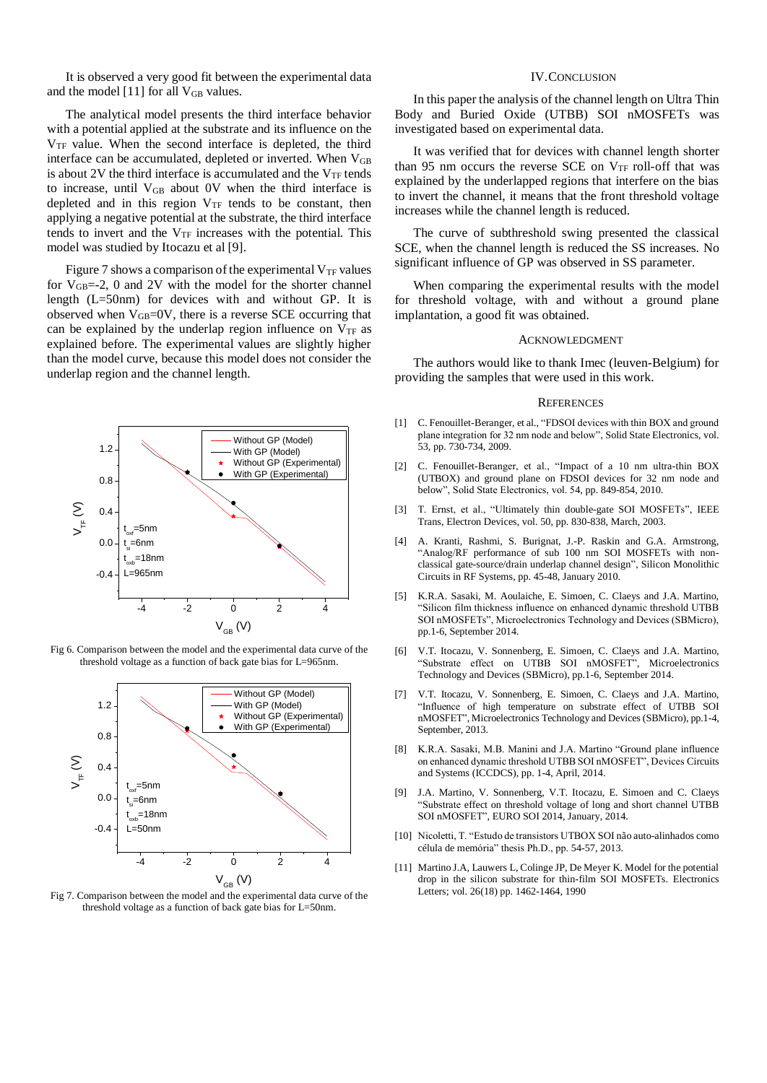It is observed a very good fit between the experimental data and the model [11] for all  $V_{GB}$  values.

The analytical model presents the third interface behavior with a potential applied at the substrate and its influence on the  $V_{TF}$  value. When the second interface is depleted, the third interface can be accumulated, depleted or inverted. When  $V_{GB}$ is about 2V the third interface is accumulated and the  $V_{TF}$  tends to increase, until VGB about 0V when the third interface is depleted and in this region  $V_{TF}$  tends to be constant, then applying a negative potential at the substrate, the third interface tends to invert and the  $V_{TF}$  increases with the potential. This model was studied by Itocazu et al [9].

Figure 7 shows a comparison of the experimental  $V_{TF}$  values for  $V_{GB}=-2$ , 0 and 2V with the model for the shorter channel length (L=50nm) for devices with and without GP. It is observed when  $V_{GB}$ =0V, there is a reverse SCE occurring that can be explained by the underlap region influence on  $V_{TF}$  as explained before. The experimental values are slightly higher than the model curve, because this model does not consider the underlap region and the channel length.



Fig 6. Comparison between the model and the experimental data curve of the threshold voltage as a function of back gate bias for L=965nm.



Fig 7. Comparison between the model and the experimental data curve of the threshold voltage as a function of back gate bias for L=50nm.

## IV.CONCLUSION

In this paper the analysis of the channel length on Ultra Thin Body and Buried Oxide (UTBB) SOI nMOSFETs was investigated based on experimental data.

It was verified that for devices with channel length shorter than 95 nm occurs the reverse SCE on  $V_{TF}$  roll-off that was explained by the underlapped regions that interfere on the bias to invert the channel, it means that the front threshold voltage increases while the channel length is reduced.

The curve of subthreshold swing presented the classical SCE, when the channel length is reduced the SS increases. No significant influence of GP was observed in SS parameter.

When comparing the experimental results with the model for threshold voltage, with and without a ground plane implantation, a good fit was obtained.

#### ACKNOWLEDGMENT

The authors would like to thank Imec (leuven-Belgium) for providing the samples that were used in this work.

#### **REFERENCES**

- [1] C. Fenouillet-Beranger, et al., "FDSOI devices with thin BOX and ground plane integration for 32 nm node and below", Solid State Electronics, vol. 53, pp. 730-734, 2009.
- [2] C. Fenouillet-Beranger, et al., "Impact of a 10 nm ultra-thin BOX (UTBOX) and ground plane on FDSOI devices for 32 nm node and below", Solid State Electronics, vol. 54, pp. 849-854, 2010.
- [3] T. Ernst, et al., "Ultimately thin double-gate SOI MOSFETs", IEEE Trans, Electron Devices, vol. 50, pp. 830-838, March, 2003.
- [4] A. Kranti, Rashmi, S. Burignat, J.-P. Raskin and G.A. Armstrong, "Analog/RF performance of sub 100 nm SOI MOSFETs with nonclassical gate-source/drain underlap channel design", Silicon Monolithic Circuits in RF Systems, pp. 45-48, January 2010.
- [5] K.R.A. Sasaki, M. Aoulaiche, E. Simoen, C. Claeys and J.A. Martino, "Silicon film thickness influence on enhanced dynamic threshold UTBB SOI nMOSFETs", Microelectronics Technology and Devices (SBMicro), pp.1-6, September 2014.
- [6] V.T. Itocazu, V. Sonnenberg, E. Simoen, C. Claeys and J.A. Martino, "Substrate effect on UTBB SOI nMOSFET", Microelectronics Technology and Devices (SBMicro), pp.1-6, September 2014.
- [7] V.T. Itocazu, V. Sonnenberg, E. Simoen, C. Claeys and J.A. Martino, "Influence of high temperature on substrate effect of UTBB SOI nMOSFET", Microelectronics Technology and Devices (SBMicro), pp.1-4, September, 2013.
- [8] K.R.A. Sasaki, M.B. Manini and J.A. Martino "Ground plane influence on enhanced dynamic threshold UTBB SOI nMOSFET", Devices Circuits and Systems (ICCDCS), pp. 1-4, April, 2014.
- [9] J.A. Martino, V. Sonnenberg, V.T. Itocazu, E. Simoen and C. Claeys "Substrate effect on threshold voltage of long and short channel UTBB SOI nMOSFET", EURO SOI 2014, January, 2014.
- [10] Nicoletti, T. "Estudo de transistors UTBOX SOI não auto-alinhados como célula de memória" thesis Ph.D., pp. 54-57, 2013.
- [11] Martino J.A, Lauwers L, Colinge JP, De Meyer K. Model for the potential drop in the silicon substrate for thin-film SOI MOSFETs. Electronics Letters; vol. 26(18) pp. 1462-1464, 1990